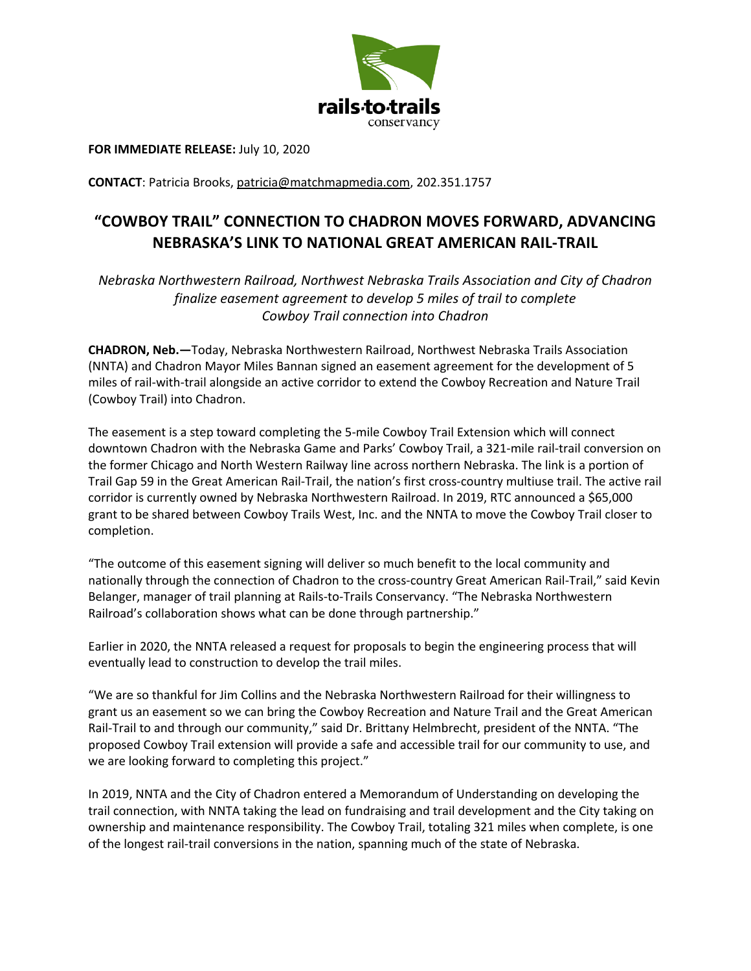

**FOR IMMEDIATE RELEASE:** July 10, 2020

**CONTACT**: Patricia Brooks, patricia@matchmapmedia.com, 202.351.1757

## **"COWBOY TRAIL" CONNECTION TO CHADRON MOVES FORWARD, ADVANCING NEBRASKA'S LINK TO NATIONAL GREAT AMERICAN RAIL-TRAIL**

*Nebraska Northwestern Railroad, Northwest Nebraska Trails Association and City of Chadron finalize easement agreement to develop 5 miles of trail to complete Cowboy Trail connection into Chadron*

**CHADRON, Neb.—**Today, Nebraska Northwestern Railroad, Northwest Nebraska Trails Association (NNTA) and Chadron Mayor Miles Bannan signed an easement agreement for the development of 5 miles of rail-with-trail alongside an active corridor to extend the Cowboy Recreation and Nature Trail (Cowboy Trail) into Chadron.

The easement is a step toward completing the 5-mile Cowboy Trail Extension which will connect downtown Chadron with the Nebraska Game and Parks' Cowboy Trail, a 321-mile rail-trail conversion on the former Chicago and North Western Railway line across northern Nebraska. The link is a portion of Trail Gap 59 in the Great American Rail-Trail, the nation's first cross-country multiuse trail. The active rail corridor is currently owned by Nebraska Northwestern Railroad. In 2019, RTC announced a \$65,000 grant to be shared between Cowboy Trails West, Inc. and the NNTA to move the Cowboy Trail closer to completion.

"The outcome of this easement signing will deliver so much benefit to the local community and nationally through the connection of Chadron to the cross-country Great American Rail-Trail," said Kevin Belanger, manager of trail planning at Rails-to-Trails Conservancy. "The Nebraska Northwestern Railroad's collaboration shows what can be done through partnership."

Earlier in 2020, the NNTA released a request for proposals to begin the engineering process that will eventually lead to construction to develop the trail miles.

"We are so thankful for Jim Collins and the Nebraska Northwestern Railroad for their willingness to grant us an easement so we can bring the Cowboy Recreation and Nature Trail and the Great American Rail-Trail to and through our community," said Dr. Brittany Helmbrecht, president of the NNTA. "The proposed Cowboy Trail extension will provide a safe and accessible trail for our community to use, and we are looking forward to completing this project."

In 2019, NNTA and the City of Chadron entered a Memorandum of Understanding on developing the trail connection, with NNTA taking the lead on fundraising and trail development and the City taking on ownership and maintenance responsibility. The Cowboy Trail, totaling 321 miles when complete, is one of the longest rail-trail conversions in the nation, spanning much of the state of Nebraska.